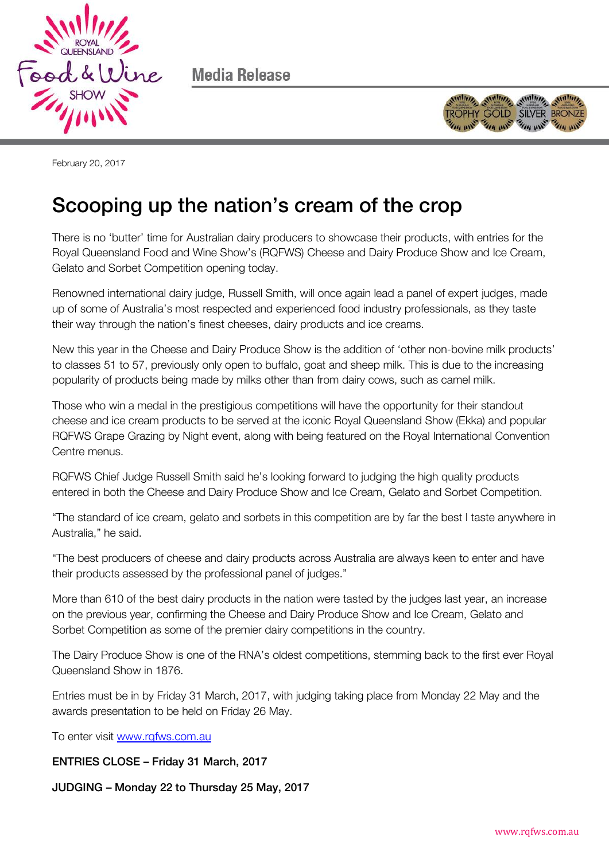

Media Release



February 20, 2017

## Scooping up the nation's cream of the crop

There is no 'butter' time for Australian dairy producers to showcase their products, with entries for the Royal Queensland Food and Wine Show's (RQFWS) Cheese and Dairy Produce Show and Ice Cream, Gelato and Sorbet Competition opening today.

Renowned international dairy judge, Russell Smith, will once again lead a panel of expert judges, made up of some of Australia's most respected and experienced food industry professionals, as they taste their way through the nation's finest cheeses, dairy products and ice creams.

New this year in the Cheese and Dairy Produce Show is the addition of 'other non-bovine milk products' to classes 51 to 57, previously only open to buffalo, goat and sheep milk. This is due to the increasing popularity of products being made by milks other than from dairy cows, such as camel milk.

Those who win a medal in the prestigious competitions will have the opportunity for their standout cheese and ice cream products to be served at the iconic Royal Queensland Show (Ekka) and popular RQFWS Grape Grazing by Night event, along with being featured on the Royal International Convention Centre menus.

RQFWS Chief Judge Russell Smith said he's looking forward to judging the high quality products entered in both the Cheese and Dairy Produce Show and Ice Cream, Gelato and Sorbet Competition.

"The standard of ice cream, gelato and sorbets in this competition are by far the best I taste anywhere in Australia," he said.

"The best producers of cheese and dairy products across Australia are always keen to enter and have their products assessed by the professional panel of judges."

More than 610 of the best dairy products in the nation were tasted by the judges last year, an increase on the previous year, confirming the Cheese and Dairy Produce Show and Ice Cream, Gelato and Sorbet Competition as some of the premier dairy competitions in the country.

The Dairy Produce Show is one of the RNA's oldest competitions, stemming back to the first ever Royal Queensland Show in 1876.

Entries must be in by Friday 31 March, 2017, with judging taking place from Monday 22 May and the awards presentation to be held on Friday 26 May.

To enter visit [www.rqfws.com.au](http://www.rqfws.com.au/) 

ENTRIES CLOSE – Friday 31 March, 2017

JUDGING – Monday 22 to Thursday 25 May, 2017